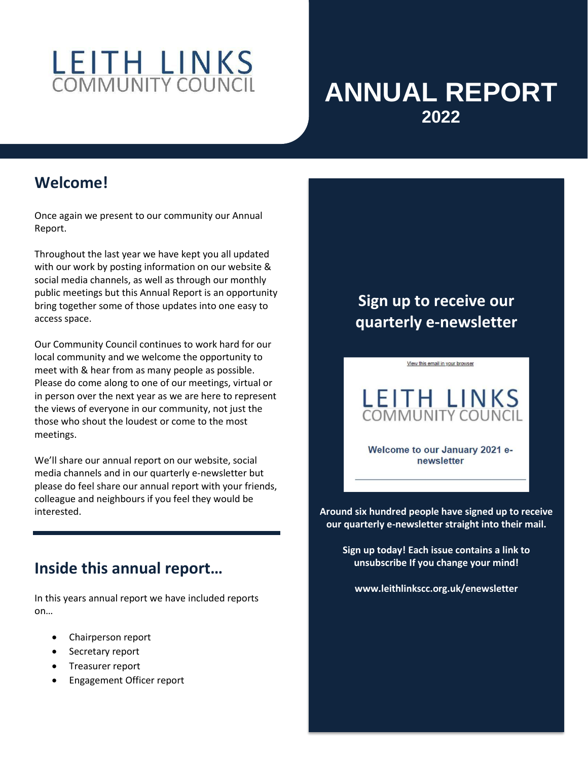# LEITH LINKS

# **ANNUAL REPORT 2022**

### **Welcome!**

Once again we present to our community our Annual Report.

Throughout the last year we have kept you all updated with our work by posting information on our website & social media channels, as well as through our monthly public meetings but this Annual Report is an opportunity bring together some of those updates into one easy to access space.

Our Community Council continues to work hard for our local community and we welcome the opportunity to meet with & hear from as many people as possible. Please do come along to one of our meetings, virtual or in person over the next year as we are here to represent the views of everyone in our community, not just the those who shout the loudest or come to the most meetings.

We'll share our annual report on our website, social media channels and in our quarterly e-newsletter but please do feel share our annual report with your friends, colleague and neighbours if you feel they would be interested.

## **Inside this annual report…**

In this years annual report we have included reports on…

- Chairperson report
- Secretary report
- Treasurer report
- Engagement Officer report

# **Sign up to receive our quarterly e-newsletter**

View this email in your browser



Welcome to our January 2021 enewsletter

**Around six hundred people have signed up to receive our quarterly e-newsletter straight into their mail.**

**Sign up today! Each issue contains a link to unsubscribe If you change your mind!**

**www.leithlinkscc.org.uk/enewsletter**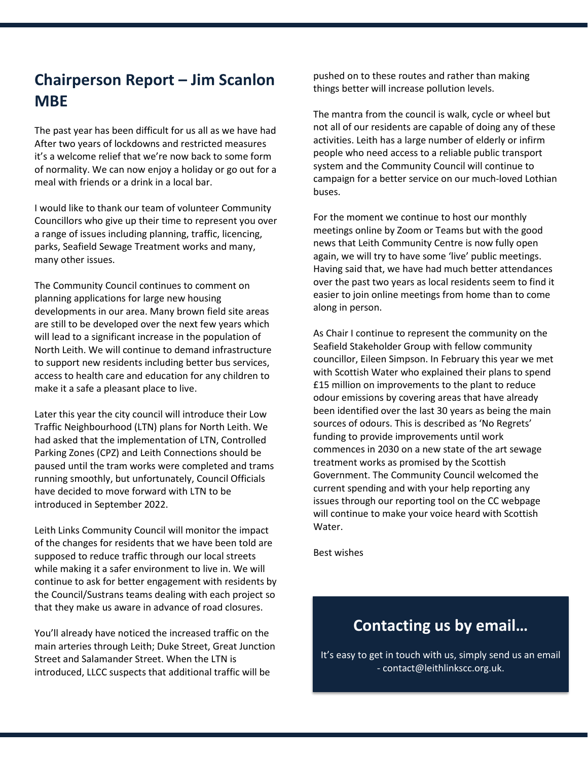# **Chairperson Report – Jim Scanlon MBE**

The past year has been difficult for us all as we have had After two years of lockdowns and restricted measures it's a welcome relief that we're now back to some form of normality. We can now enjoy a holiday or go out for a meal with friends or a drink in a local bar.

I would like to thank our team of volunteer Community Councillors who give up their time to represent you over a range of issues including planning, traffic, licencing, parks, Seafield Sewage Treatment works and many, many other issues.

The Community Council continues to comment on planning applications for large new housing developments in our area. Many brown field site areas are still to be developed over the next few years which will lead to a significant increase in the population of North Leith. We will continue to demand infrastructure to support new residents including better bus services, access to health care and education for any children to make it a safe a pleasant place to live.

Later this year the city council will introduce their Low Traffic Neighbourhood (LTN) plans for North Leith. We had asked that the implementation of LTN, Controlled Parking Zones (CPZ) and Leith Connections should be paused until the tram works were completed and trams running smoothly, but unfortunately, Council Officials have decided to move forward with LTN to be introduced in September 2022.

Leith Links Community Council will monitor the impact of the changes for residents that we have been told are supposed to reduce traffic through our local streets while making it a safer environment to live in. We will continue to ask for better engagement with residents by the Council/Sustrans teams dealing with each project so that they make us aware in advance of road closures.

You'll already have noticed the increased traffic on the main arteries through Leith; Duke Street, Great Junction Street and Salamander Street. When the LTN is introduced, LLCC suspects that additional traffic will be

pushed on to these routes and rather than making things better will increase pollution levels.

The mantra from the council is walk, cycle or wheel but not all of our residents are capable of doing any of these activities. Leith has a large number of elderly or infirm people who need access to a reliable public transport system and the Community Council will continue to campaign for a better service on our much-loved Lothian buses.

For the moment we continue to host our monthly meetings online by Zoom or Teams but with the good news that Leith Community Centre is now fully open again, we will try to have some 'live' public meetings. Having said that, we have had much better attendances over the past two years as local residents seem to find it easier to join online meetings from home than to come along in person.

As Chair I continue to represent the community on the Seafield Stakeholder Group with fellow community councillor, Eileen Simpson. In February this year we met with Scottish Water who explained their plans to spend £15 million on improvements to the plant to reduce odour emissions by covering areas that have already been identified over the last 30 years as being the main sources of odours. This is described as 'No Regrets' funding to provide improvements until work commences in 2030 on a new state of the art sewage treatment works as promised by the Scottish Government. The Community Council welcomed the current spending and with your help reporting any issues through our reporting tool on the CC webpage will continue to make your voice heard with Scottish Water.

Best wishes

#### **Contacting us by email…**

It's easy to get in touch with us, simply send us an email - contact@leithlinkscc.org.uk.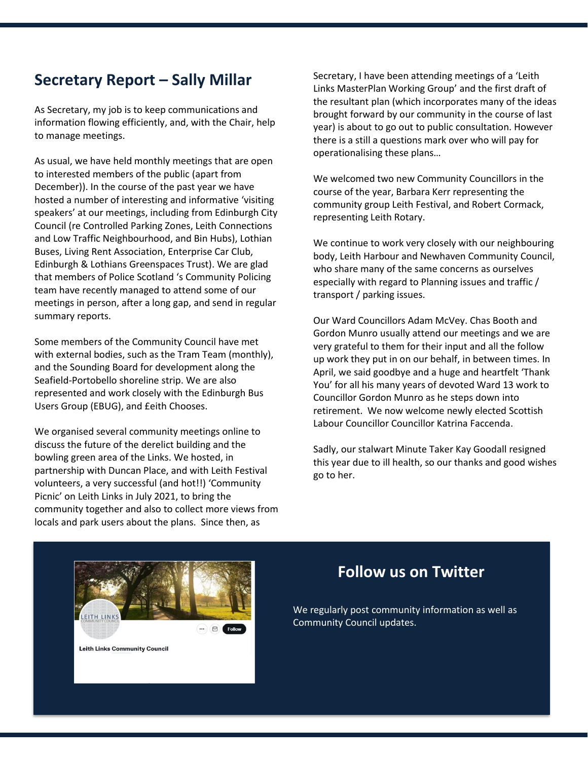#### **Secretary Report – Sally Millar**

As Secretary, my job is to keep communications and information flowing efficiently, and, with the Chair, help to manage meetings.

As usual, we have held monthly meetings that are open to interested members of the public (apart from December)). In the course of the past year we have hosted a number of interesting and informative 'visiting speakers' at our meetings, including from Edinburgh City Council (re Controlled Parking Zones, Leith Connections and Low Traffic Neighbourhood, and Bin Hubs), Lothian Buses, Living Rent Association, Enterprise Car Club, Edinburgh & Lothians Greenspaces Trust). We are glad that members of Police Scotland 's Community Policing team have recently managed to attend some of our meetings in person, after a long gap, and send in regular summary reports.

Some members of the Community Council have met with external bodies, such as the Tram Team (monthly), and the Sounding Board for development along the Seafield-Portobello shoreline strip. We are also represented and work closely with the Edinburgh Bus Users Group (EBUG), and £eith Chooses.

We organised several community meetings online to discuss the future of the derelict building and the bowling green area of the Links. We hosted, in partnership with Duncan Place, and with Leith Festival volunteers, a very successful (and hot!!) 'Community Picnic' on Leith Links in July 2021, to bring the community together and also to collect more views from locals and park users about the plans. Since then, as

Secretary, I have been attending meetings of a 'Leith Links MasterPlan Working Group' and the first draft of the resultant plan (which incorporates many of the ideas brought forward by our community in the course of last year) is about to go out to public consultation. However there is a still a questions mark over who will pay for operationalising these plans…

We welcomed two new Community Councillors in the course of the year, Barbara Kerr representing the community group Leith Festival, and Robert Cormack, representing Leith Rotary.

We continue to work very closely with our neighbouring body, Leith Harbour and Newhaven Community Council, who share many of the same concerns as ourselves especially with regard to Planning issues and traffic / transport / parking issues.

Our Ward Councillors Adam McVey. Chas Booth and Gordon Munro usually attend our meetings and we are very grateful to them for their input and all the follow up work they put in on our behalf, in between times. In April, we said goodbye and a huge and heartfelt 'Thank You' for all his many years of devoted Ward 13 work to Councillor Gordon Munro as he steps down into retirement. We now welcome newly elected Scottish Labour Councillor Councillor Katrina Faccenda.

Sadly, our stalwart Minute Taker Kay Goodall resigned this year due to ill health, so our thanks and good wishes go to her.



#### **Follow us on Twitter**

We regularly post community information as well as Community Council updates.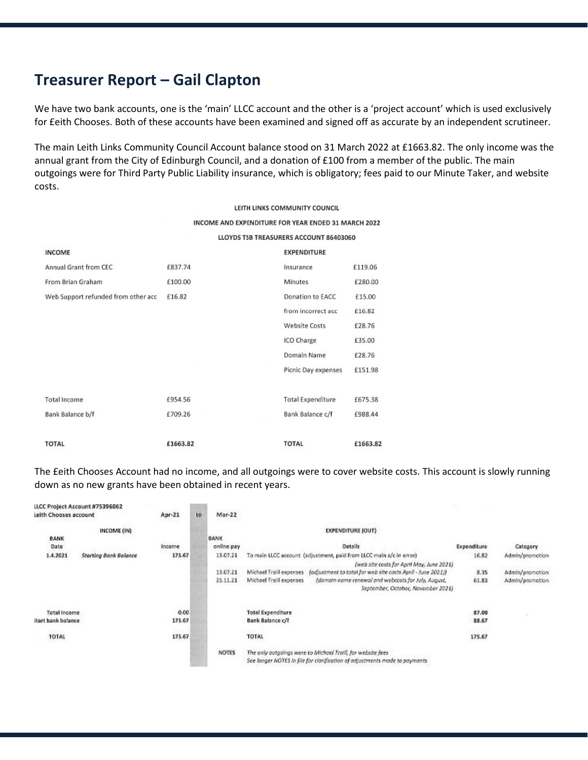#### **Treasurer Report – Gail Clapton**

We have two bank accounts, one is the 'main' LLCC account and the other is a 'project account' which is used exclusively for £eith Chooses. Both of these accounts have been examined and signed off as accurate by an independent scrutineer.

The main Leith Links Community Council Account balance stood on 31 March 2022 at £1663.82. The only income was the annual grant from the City of Edinburgh Council, and a donation of £100 from a member of the public. The main outgoings were for Third Party Public Liability insurance, which is obligatory; fees paid to our Minute Taker, and website costs.

|                                     | LEITH LINKS COMMUNITY COUNCIL |                                                     |  |  |  |  |
|-------------------------------------|-------------------------------|-----------------------------------------------------|--|--|--|--|
|                                     |                               | INCOME AND EXPENDITURE FOR YEAR ENDED 31 MARCH 2022 |  |  |  |  |
|                                     |                               | LLOYDS TSB TREASURERS ACCOUNT 86403060              |  |  |  |  |
| <b>INCOME</b>                       | <b>EXPENDITURE</b>            |                                                     |  |  |  |  |
| Annual Grant from CEC               | £837.74                       | £119.06<br>Insurance                                |  |  |  |  |
| From Brian Graham                   | £100.00                       | <b>Minutes</b><br>£280.00                           |  |  |  |  |
| Web Support refunded from other acc | £16.82                        | Donation to EACC<br>£15.00                          |  |  |  |  |
|                                     |                               | from incorrect acc<br>£16.82                        |  |  |  |  |
|                                     |                               | <b>Website Costs</b><br>£28.76                      |  |  |  |  |
|                                     |                               | ICO Charge<br>£35.00                                |  |  |  |  |
|                                     |                               | Domain Name<br>£28.76                               |  |  |  |  |
|                                     |                               | Picnic Day expenses<br>£151.98                      |  |  |  |  |
| <b>Total Income</b>                 | £954.56                       | <b>Total Expenditure</b><br>£675.38                 |  |  |  |  |
| Bank Balance b/f                    | £709.26                       | Bank Balance c/f<br>£988.44                         |  |  |  |  |
| <b>TOTAL</b>                        | £1663.82                      | <b>TOTAL</b><br>£1663.82                            |  |  |  |  |

The £eith Chooses Account had no income, and all outgoings were to cover website costs. This account is slowly running down as no new grants have been obtained in recent years.

| Leith Chooses account     | LLCC Project Account #75396062 | $Apr-21$           | to | $Mar-22$    |                                                                                                                                           |             |                 |  |
|---------------------------|--------------------------------|--------------------|----|-------------|-------------------------------------------------------------------------------------------------------------------------------------------|-------------|-----------------|--|
|                           | INCOME (IN)                    |                    |    |             | <b>EXPENDITURE (OUT)</b>                                                                                                                  |             |                 |  |
| <b>BANK</b>               |                                |                    |    | <b>BANK</b> |                                                                                                                                           |             | ひとうしつしょう        |  |
| Date                      |                                | 00000000<br>Income |    | online pay  | <b>Details</b>                                                                                                                            | Expenditure | Category        |  |
| 1.4.2021                  | Starting Bonk Balance          | 175.67             |    | 13.07.21    | To main LLCC account (adjustment, paid from LLCC main a/c in error)                                                                       | 16.82       | Admin/promotion |  |
|                           |                                |                    |    |             | (web site costs for April May, June 2021)                                                                                                 |             |                 |  |
|                           |                                |                    |    | 13.07.21    | (adjustment to total for web site costs April - June 2021))<br>Michael Traill expenses                                                    | 8.35        | Admin/promotion |  |
|                           |                                |                    |    | 25.11.21    | (domain name renewal and webcosts for July, August,<br>Michael Traill expenses<br>September, October, November 2021)                      | 61.83       | Admin/promotion |  |
|                           |                                |                    |    |             |                                                                                                                                           |             |                 |  |
| <b>Total Income</b>       |                                | 0.00               |    |             | <b>Total Expenditure</b>                                                                                                                  | 87.00       |                 |  |
| <b>Start bank balance</b> |                                | 175.67             |    |             | Bank Balance c/f                                                                                                                          | 88.67       |                 |  |
| TOTAL                     |                                | 5353<br>175.67     |    |             | <b>TOTAL</b>                                                                                                                              | 175.67      |                 |  |
|                           |                                |                    |    | NOTES       | The anly outgaings were to Michael Traill, for website fees<br>See longer NOTES in file for clarification of adjustments made to payments |             |                 |  |